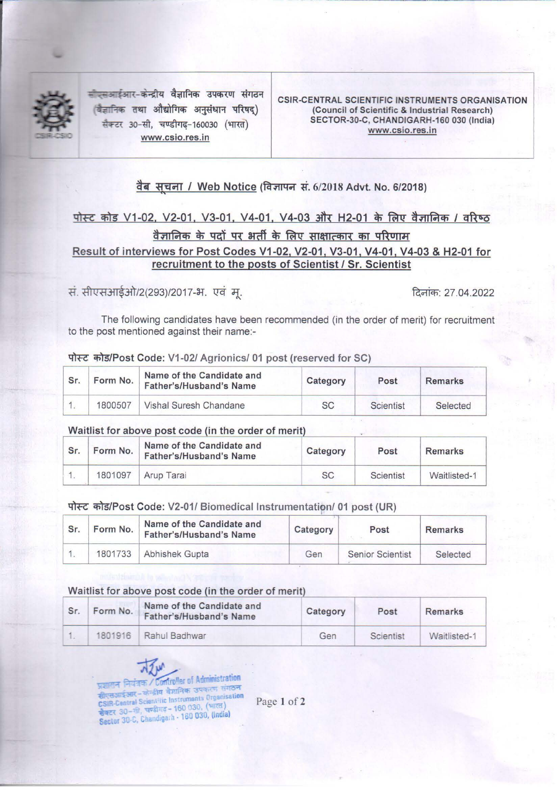

~-~~ ~ a~1f~Cfl aqCfi(OI WICR किज्ञानिक तथा औद्योगिक अनुसंधान परिषद) सैक्टर 30-सी, चण्डीगढ-160030 (भारत) www.csio.res.in

CSIR-CENTRAL SCIENTIFIC INSTRUMENTS ORGANISATION (Council of Scientific & Industrial Research) SECTOR-30-C, CHANDIGARH-160 030 (India) www.csio.res.in

## वैब सूचना / Web Notice (विज्ञापन सं. 6/2018 Advt. No. 6/2018)

# पोस्ट कोड V1-02, V2-01, V3-01, V4-01, V4-03 और H2-01 के लिए वैज्ञानिक / वरिष्ठ वैज्ञानिक के पदों पर भर्ती के लिए साक्षात्कार का परिणाम Result of interviews for Post Codes V1-02, V2-01, V3-01, V4-01, V4-03 & H2-01 for recruitment to the posts of Scientist / Sr. Scientist

. ~~JIT/ 293) <sup>20</sup> 17- . "QCf ~ : 27.04.2022

The following candidates have been recommended (in the order of merit) for recruitment to the post mentioned against their name:-

#### पोस्ट कोड/Post Code: V1-02/ Agrionics/ 01 post (reserved for SC)

| Sr. | Form No. | Name of the Candidate and<br>Father's/Husband's Name | Category | Post      | Remarks  |
|-----|----------|------------------------------------------------------|----------|-----------|----------|
|     | 1800507  | Vishal Suresh Chandane                               | SC       | Scientist | Selected |

#### Waitlist for above post code (in the order of merit)

| Sr. | Form No. | Name of the Candidate and<br>Father's/Husband's Name | Category  | Post      | Remarks      |
|-----|----------|------------------------------------------------------|-----------|-----------|--------------|
|     | 1801097  | Arup Tarai                                           | <b>SC</b> | Scientist | Waitlisted-1 |

#### ~ m/Post Code: V2-01/ Biomedical lnstrumentatipn/ 01 post (UR)

| Sr. | Form No. | Name of the Candidate and<br>Father's/Husband's Name | Category | Post             | <b>Remarks</b> |
|-----|----------|------------------------------------------------------|----------|------------------|----------------|
|     | 1801733  | Abhishek Gupta                                       | Gen      | Senior Scientist | Selected       |

#### Waitlist for above post code (in the order of merit)

| Form No. | Name of the Candidate and<br>Father's/Husband's Name | Category | Post      | <b>Remarks</b> |
|----------|------------------------------------------------------|----------|-----------|----------------|
|          | 1801916   Rahul Badhwar                              | Gen      | Scientist | Waitlisted-1   |

ज्ञासन नियंत्रक / Controller of Administration सीएसआईआर – केन्द्रीय वैज्ञानिक उपवरण गणि<br>CSIR-Central Scientific Instruments Organisation CSIR-Central Scientific Instruments<br>सैक्टर 30- की, चण्डीगढ़ - 160 030, (भारत)<br>सैक्टर 30- G. Chaptinach - 160 030, (India सैक्टर 30- तो, चण्डागढ़- 100 000, (india)<br>Sector 30-C, Chandigarh - 160 030, (india)

Page 1 of 2